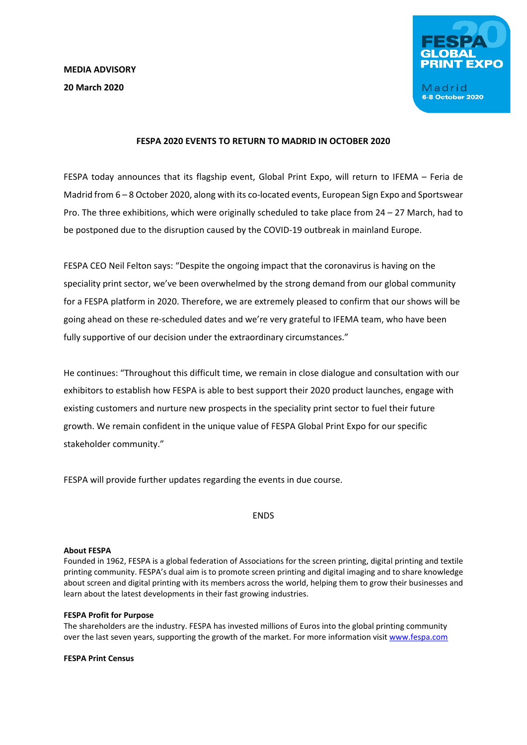

# **FESPA 2020 EVENTS TO RETURN TO MADRID IN OCTOBER 2020**

FESPA today announces that its flagship event, Global Print Expo, will return to IFEMA – Feria de Madrid from 6 – 8 October 2020, along with its co-located events, European Sign Expo and Sportswear Pro. The three exhibitions, which were originally scheduled to take place from 24 – 27 March, had to be postponed due to the disruption caused by the COVID-19 outbreak in mainland Europe.

FESPA CEO Neil Felton says: "Despite the ongoing impact that the coronavirus is having on the speciality print sector, we've been overwhelmed by the strong demand from our global community for a FESPA platform in 2020. Therefore, we are extremely pleased to confirm that our shows will be going ahead on these re-scheduled dates and we're very grateful to IFEMA team, who have been fully supportive of our decision under the extraordinary circumstances."

He continues: "Throughout this difficult time, we remain in close dialogue and consultation with our exhibitors to establish how FESPA is able to best support their 2020 product launches, engage with existing customers and nurture new prospects in the speciality print sector to fuel their future growth. We remain confident in the unique value of FESPA Global Print Expo for our specific stakeholder community."

FESPA will provide further updates regarding the events in due course.

ENDS

#### **About FESPA**

Founded in 1962, FESPA is a global federation of Associations for the screen printing, digital printing and textile printing community. FESPA's dual aim is to promote screen printing and digital imaging and to share knowledge about screen and digital printing with its members across the world, helping them to grow their businesses and learn about the latest developments in their fast growing industries.

#### **FESPA Profit for Purpose**

The shareholders are the industry. FESPA has invested millions of Euros into the global printing community over the last seven years, supporting the growth of the market. For more information visit [www.fespa.com](http://www.fespa.com/)

**FESPA Print Census**